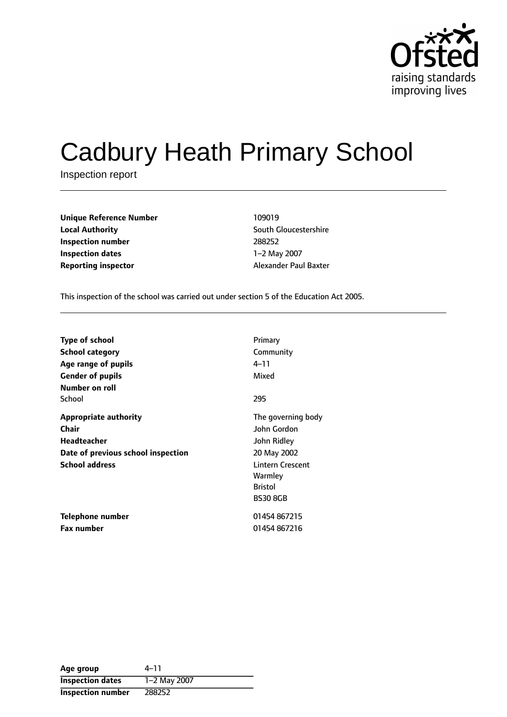

# Cadbury Heath Primary School

Inspection report

| <b>Unique Reference Number</b> | 109019  |
|--------------------------------|---------|
| <b>Local Authority</b>         | South ( |
| Inspection number              | 288252  |
| <b>Inspection dates</b>        | 1-2 Ma  |
| Reporting inspector            | Alexand |

**South Gloucestershire Inspection number** 288252 **1-2 May 2007 Proporting inspector** Alexander Paul Baxter

This inspection of the school was carried out under section 5 of the Education Act 2005.

| <b>Type of school</b><br><b>School category</b> | Primary<br>Community    |
|-------------------------------------------------|-------------------------|
| Age range of pupils                             | 4–11                    |
| <b>Gender of pupils</b>                         | Mixed                   |
| Number on roll                                  |                         |
| School                                          | 295                     |
| <b>Appropriate authority</b>                    | The governing body      |
| Chair                                           | John Gordon             |
| <b>Headteacher</b>                              | John Ridley             |
| Date of previous school inspection              | 20 May 2002             |
| <b>School address</b>                           | <b>Lintern Crescent</b> |
|                                                 | Warmley                 |
|                                                 | <b>Bristol</b>          |
|                                                 | <b>BS30 8GB</b>         |
| Telephone number                                | 01454 867215            |
| <b>Fax number</b>                               | 01454 867216            |

| Age group                | 4–11         |
|--------------------------|--------------|
| <b>Inspection dates</b>  | 1-2 May 2007 |
| <b>Inspection number</b> | 288252       |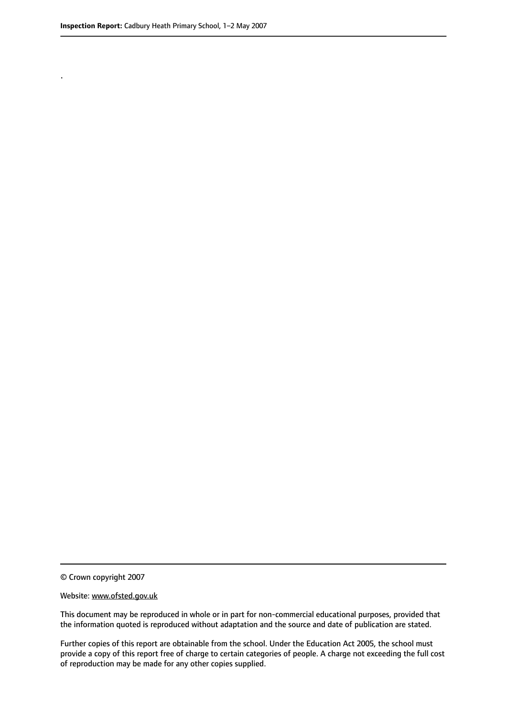.

© Crown copyright 2007

#### Website: www.ofsted.gov.uk

This document may be reproduced in whole or in part for non-commercial educational purposes, provided that the information quoted is reproduced without adaptation and the source and date of publication are stated.

Further copies of this report are obtainable from the school. Under the Education Act 2005, the school must provide a copy of this report free of charge to certain categories of people. A charge not exceeding the full cost of reproduction may be made for any other copies supplied.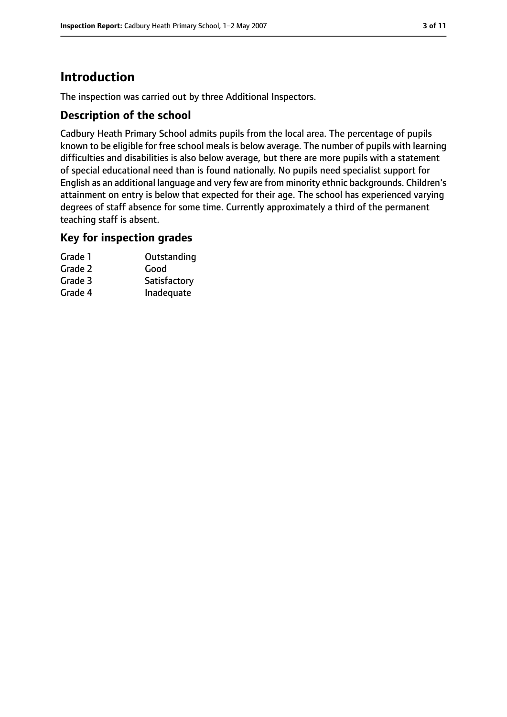# **Introduction**

The inspection was carried out by three Additional Inspectors.

## **Description of the school**

Cadbury Heath Primary School admits pupils from the local area. The percentage of pupils known to be eligible for free school meals is below average. The number of pupils with learning difficulties and disabilities is also below average, but there are more pupils with a statement of special educational need than is found nationally. No pupils need specialist support for English as an additional language and very few are from minority ethnic backgrounds. Children's attainment on entry is below that expected for their age. The school has experienced varying degrees of staff absence for some time. Currently approximately a third of the permanent teaching staff is absent.

#### **Key for inspection grades**

| Grade 1 | Outstanding  |
|---------|--------------|
| Grade 2 | Good         |
| Grade 3 | Satisfactory |
| Grade 4 | Inadequate   |
|         |              |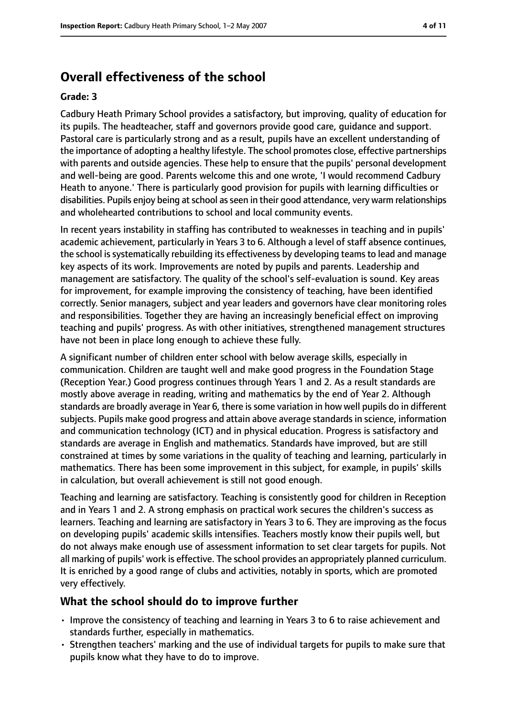# **Overall effectiveness of the school**

#### **Grade: 3**

Cadbury Heath Primary School provides a satisfactory, but improving, quality of education for its pupils. The headteacher, staff and governors provide good care, guidance and support. Pastoral care is particularly strong and as a result, pupils have an excellent understanding of the importance of adopting a healthy lifestyle. The school promotes close, effective partnerships with parents and outside agencies. These help to ensure that the pupils' personal development and well-being are good. Parents welcome this and one wrote, 'I would recommend Cadbury Heath to anyone.' There is particularly good provision for pupils with learning difficulties or disabilities. Pupils enjoy being at school as seen in their good attendance, very warm relationships and wholehearted contributions to school and local community events.

In recent years instability in staffing has contributed to weaknesses in teaching and in pupils' academic achievement, particularly in Years 3 to 6. Although a level of staff absence continues, the school issystematically rebuilding its effectiveness by developing teamsto lead and manage key aspects of its work. Improvements are noted by pupils and parents. Leadership and management are satisfactory. The quality of the school's self-evaluation is sound. Key areas for improvement, for example improving the consistency of teaching, have been identified correctly. Senior managers, subject and year leaders and governors have clear monitoring roles and responsibilities. Together they are having an increasingly beneficial effect on improving teaching and pupils' progress. As with other initiatives, strengthened management structures have not been in place long enough to achieve these fully.

A significant number of children enter school with below average skills, especially in communication. Children are taught well and make good progress in the Foundation Stage (Reception Year.) Good progress continues through Years 1 and 2. As a result standards are mostly above average in reading, writing and mathematics by the end of Year 2. Although standards are broadly average in Year 6, there is some variation in how well pupils do in different subjects. Pupils make good progress and attain above average standards in science, information and communication technology (ICT) and in physical education. Progress is satisfactory and standards are average in English and mathematics. Standards have improved, but are still constrained at times by some variations in the quality of teaching and learning, particularly in mathematics. There has been some improvement in this subject, for example, in pupils' skills in calculation, but overall achievement is still not good enough.

Teaching and learning are satisfactory. Teaching is consistently good for children in Reception and in Years 1 and 2. A strong emphasis on practical work secures the children's success as learners. Teaching and learning are satisfactory in Years 3 to 6. They are improving as the focus on developing pupils' academic skills intensifies. Teachers mostly know their pupils well, but do not always make enough use of assessment information to set clear targets for pupils. Not all marking of pupils' work is effective. The school provides an appropriately planned curriculum. It is enriched by a good range of clubs and activities, notably in sports, which are promoted very effectively.

## **What the school should do to improve further**

- Improve the consistency of teaching and learning in Years 3 to 6 to raise achievement and standards further, especially in mathematics.
- Strengthen teachers' marking and the use of individual targets for pupils to make sure that pupils know what they have to do to improve.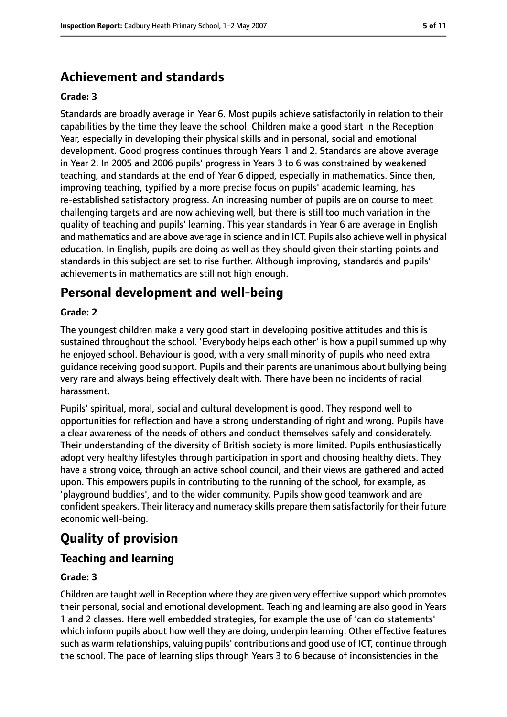# **Achievement and standards**

#### **Grade: 3**

Standards are broadly average in Year 6. Most pupils achieve satisfactorily in relation to their capabilities by the time they leave the school. Children make a good start in the Reception Year, especially in developing their physical skills and in personal, social and emotional development. Good progress continues through Years 1 and 2. Standards are above average in Year 2. In 2005 and 2006 pupils' progress in Years 3 to 6 was constrained by weakened teaching, and standards at the end of Year 6 dipped, especially in mathematics. Since then, improving teaching, typified by a more precise focus on pupils' academic learning, has re-established satisfactory progress. An increasing number of pupils are on course to meet challenging targets and are now achieving well, but there is still too much variation in the quality of teaching and pupils' learning. This year standards in Year 6 are average in English and mathematics and are above average in science and in ICT. Pupils also achieve well in physical education. In English, pupils are doing as well as they should given their starting points and standards in this subject are set to rise further. Although improving, standards and pupils' achievements in mathematics are still not high enough.

# **Personal development and well-being**

#### **Grade: 2**

The youngest children make a very good start in developing positive attitudes and this is sustained throughout the school. 'Everybody helps each other' is how a pupil summed up why he enjoyed school. Behaviour is good, with a very small minority of pupils who need extra guidance receiving good support. Pupils and their parents are unanimous about bullying being very rare and always being effectively dealt with. There have been no incidents of racial harassment.

Pupils' spiritual, moral, social and cultural development is good. They respond well to opportunities for reflection and have a strong understanding of right and wrong. Pupils have a clear awareness of the needs of others and conduct themselves safely and considerately. Their understanding of the diversity of British society is more limited. Pupils enthusiastically adopt very healthy lifestyles through participation in sport and choosing healthy diets. They have a strong voice, through an active school council, and their views are gathered and acted upon. This empowers pupils in contributing to the running of the school, for example, as 'playground buddies', and to the wider community. Pupils show good teamwork and are confident speakers. Their literacy and numeracy skills prepare them satisfactorily for their future economic well-being.

# **Quality of provision**

## **Teaching and learning**

#### **Grade: 3**

Children are taught well in Reception where they are given very effective support which promotes their personal, social and emotional development. Teaching and learning are also good in Years 1 and 2 classes. Here well embedded strategies, for example the use of 'can do statements' which inform pupils about how well they are doing, underpin learning. Other effective features such as warm relationships, valuing pupils' contributions and good use of ICT, continue through the school. The pace of learning slips through Years 3 to 6 because of inconsistencies in the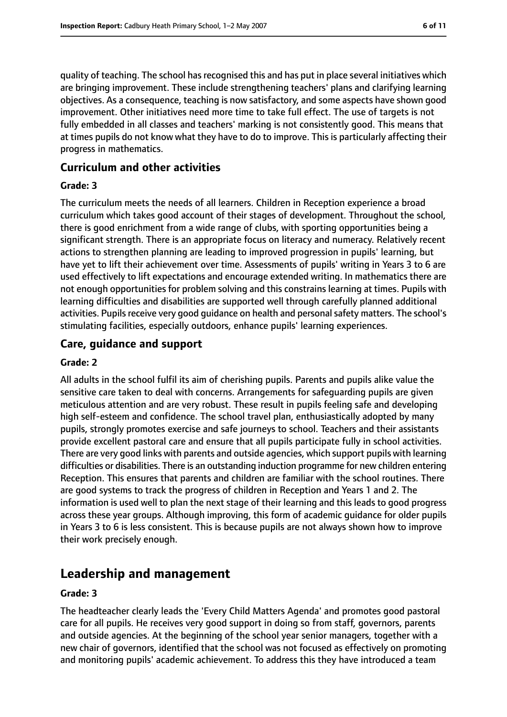quality of teaching. The school hasrecognised this and has put in place several initiatives which are bringing improvement. These include strengthening teachers' plans and clarifying learning objectives. As a consequence, teaching is now satisfactory, and some aspects have shown good improvement. Other initiatives need more time to take full effect. The use of targets is not fully embedded in all classes and teachers' marking is not consistently good. This means that at times pupils do not know what they have to do to improve. This is particularly affecting their progress in mathematics.

#### **Curriculum and other activities**

#### **Grade: 3**

The curriculum meets the needs of all learners. Children in Reception experience a broad curriculum which takes good account of their stages of development. Throughout the school, there is good enrichment from a wide range of clubs, with sporting opportunities being a significant strength. There is an appropriate focus on literacy and numeracy. Relatively recent actions to strengthen planning are leading to improved progression in pupils' learning, but have yet to lift their achievement over time. Assessments of pupils' writing in Years 3 to 6 are used effectively to lift expectations and encourage extended writing. In mathematics there are not enough opportunities for problem solving and this constrains learning at times. Pupils with learning difficulties and disabilities are supported well through carefully planned additional activities. Pupils receive very good quidance on health and personal safety matters. The school's stimulating facilities, especially outdoors, enhance pupils' learning experiences.

#### **Care, guidance and support**

#### **Grade: 2**

All adults in the school fulfil its aim of cherishing pupils. Parents and pupils alike value the sensitive care taken to deal with concerns. Arrangements for safeguarding pupils are given meticulous attention and are very robust. These result in pupils feeling safe and developing high self-esteem and confidence. The school travel plan, enthusiastically adopted by many pupils, strongly promotes exercise and safe journeys to school. Teachers and their assistants provide excellent pastoral care and ensure that all pupils participate fully in school activities. There are very good links with parents and outside agencies, which support pupils with learning difficulties or disabilities. There is an outstanding induction programme for new children entering Reception. This ensures that parents and children are familiar with the school routines. There are good systems to track the progress of children in Reception and Years 1 and 2. The information is used well to plan the next stage of their learning and this leads to good progress across these year groups. Although improving, this form of academic guidance for older pupils in Years 3 to 6 is less consistent. This is because pupils are not always shown how to improve their work precisely enough.

# **Leadership and management**

#### **Grade: 3**

The headteacher clearly leads the 'Every Child Matters Agenda' and promotes good pastoral care for all pupils. He receives very good support in doing so from staff, governors, parents and outside agencies. At the beginning of the school year senior managers, together with a new chair of governors, identified that the school was not focused as effectively on promoting and monitoring pupils' academic achievement. To address this they have introduced a team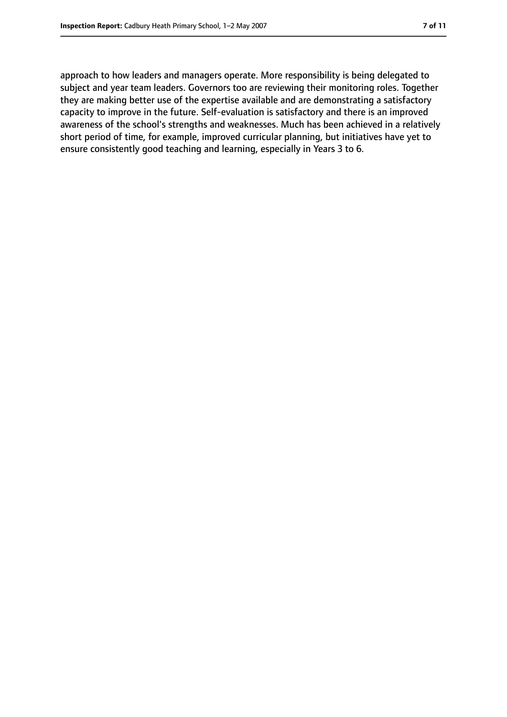approach to how leaders and managers operate. More responsibility is being delegated to subject and year team leaders. Governors too are reviewing their monitoring roles. Together they are making better use of the expertise available and are demonstrating a satisfactory capacity to improve in the future. Self-evaluation is satisfactory and there is an improved awareness of the school's strengths and weaknesses. Much has been achieved in a relatively short period of time, for example, improved curricular planning, but initiatives have yet to ensure consistently good teaching and learning, especially in Years 3 to 6.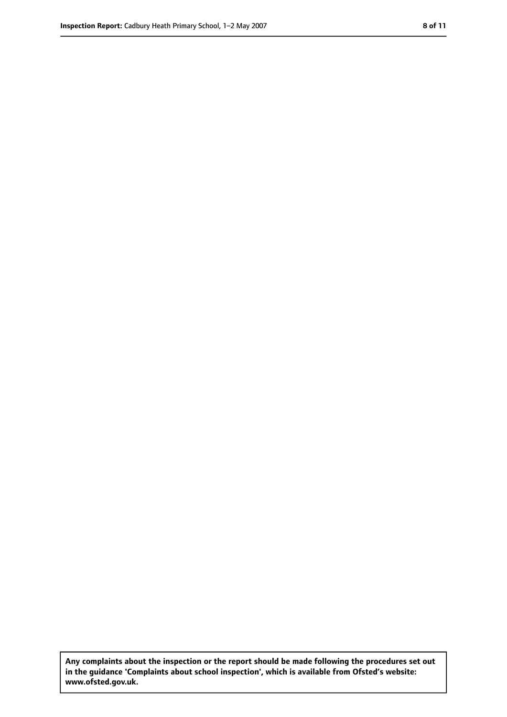**Any complaints about the inspection or the report should be made following the procedures set out in the guidance 'Complaints about school inspection', which is available from Ofsted's website: www.ofsted.gov.uk.**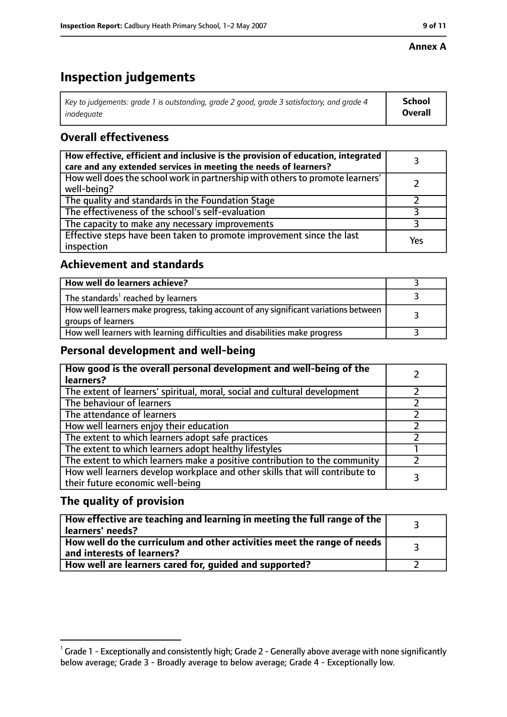#### **Annex A**

# **Inspection judgements**

| Key to judgements: grade 1 is outstanding, grade 2 good, grade 3 satisfactory, and grade 4 | School         |
|--------------------------------------------------------------------------------------------|----------------|
| inadeguate                                                                                 | <b>Overall</b> |

## **Overall effectiveness**

| How effective, efficient and inclusive is the provision of education, integrated<br>care and any extended services in meeting the needs of learners? |     |
|------------------------------------------------------------------------------------------------------------------------------------------------------|-----|
| How well does the school work in partnership with others to promote learners'<br>well-being?                                                         |     |
| The quality and standards in the Foundation Stage                                                                                                    |     |
| The effectiveness of the school's self-evaluation                                                                                                    |     |
| The capacity to make any necessary improvements                                                                                                      |     |
| Effective steps have been taken to promote improvement since the last<br>inspection                                                                  | Yes |

## **Achievement and standards**

| How well do learners achieve?                                                                               |  |
|-------------------------------------------------------------------------------------------------------------|--|
| The standards <sup>1</sup> reached by learners                                                              |  |
| How well learners make progress, taking account of any significant variations between<br>groups of learners |  |
| How well learners with learning difficulties and disabilities make progress                                 |  |

## **Personal development and well-being**

| How good is the overall personal development and well-being of the<br>learners?                                  |  |
|------------------------------------------------------------------------------------------------------------------|--|
| The extent of learners' spiritual, moral, social and cultural development                                        |  |
| The behaviour of learners                                                                                        |  |
| The attendance of learners                                                                                       |  |
| How well learners enjoy their education                                                                          |  |
| The extent to which learners adopt safe practices                                                                |  |
| The extent to which learners adopt healthy lifestyles                                                            |  |
| The extent to which learners make a positive contribution to the community                                       |  |
| How well learners develop workplace and other skills that will contribute to<br>their future economic well-being |  |

## **The quality of provision**

| How effective are teaching and learning in meeting the full range of the<br>learners' needs?          |  |
|-------------------------------------------------------------------------------------------------------|--|
| How well do the curriculum and other activities meet the range of needs<br>and interests of learners? |  |
| How well are learners cared for, quided and supported?                                                |  |

 $^1$  Grade 1 - Exceptionally and consistently high; Grade 2 - Generally above average with none significantly below average; Grade 3 - Broadly average to below average; Grade 4 - Exceptionally low.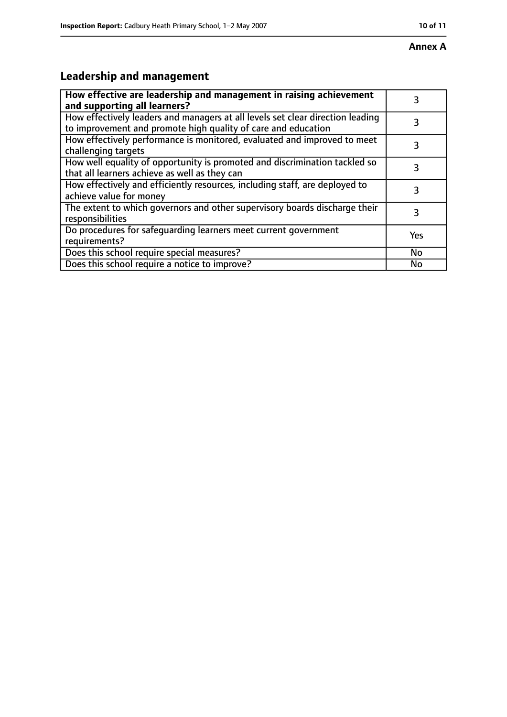# **Leadership and management**

| How effective are leadership and management in raising achievement<br>and supporting all learners?                                              | 3         |
|-------------------------------------------------------------------------------------------------------------------------------------------------|-----------|
| How effectively leaders and managers at all levels set clear direction leading<br>to improvement and promote high quality of care and education | 3         |
| How effectively performance is monitored, evaluated and improved to meet<br>challenging targets                                                 | 3         |
| How well equality of opportunity is promoted and discrimination tackled so<br>that all learners achieve as well as they can                     |           |
| How effectively and efficiently resources, including staff, are deployed to<br>achieve value for money                                          | 3         |
| The extent to which governors and other supervisory boards discharge their<br>responsibilities                                                  | 3         |
| Do procedures for safequarding learners meet current government<br>requirements?                                                                | Yes       |
| Does this school require special measures?                                                                                                      | <b>No</b> |
| Does this school require a notice to improve?                                                                                                   | No        |